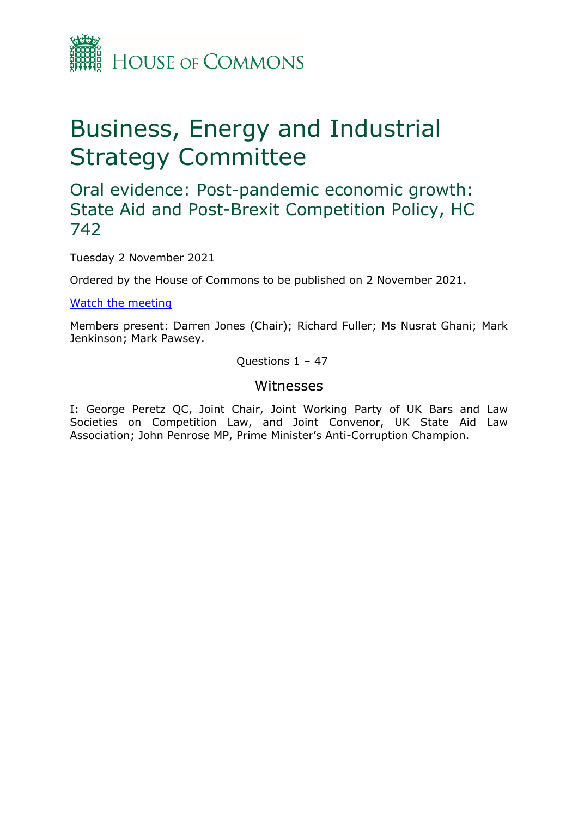

# Business, Energy and Industrial Strategy Committee

# Oral evidence: Post-pandemic economic growth: State Aid and Post-Brexit Competition Policy, HC 742

Tuesday 2 November 2021

Ordered by the House of Commons to be published on 2 November 2021.

[Watch](https://parliamentlive.tv/event/index/de88fe60-0f9b-452c-ba3c-9267a7db2811) [the](https://parliamentlive.tv/event/index/de88fe60-0f9b-452c-ba3c-9267a7db2811) [meeting](https://parliamentlive.tv/event/index/de88fe60-0f9b-452c-ba3c-9267a7db2811)

Members present: Darren Jones (Chair); Richard Fuller; Ms Nusrat Ghani; Mark Jenkinson; Mark Pawsey.

Questions 1 – 47

### Witnesses

I: George Peretz QC, Joint Chair, Joint Working Party of UK Bars and Law Societies on Competition Law, and Joint Convenor, UK State Aid Law Association; John Penrose MP, Prime Minister's Anti-Corruption Champion.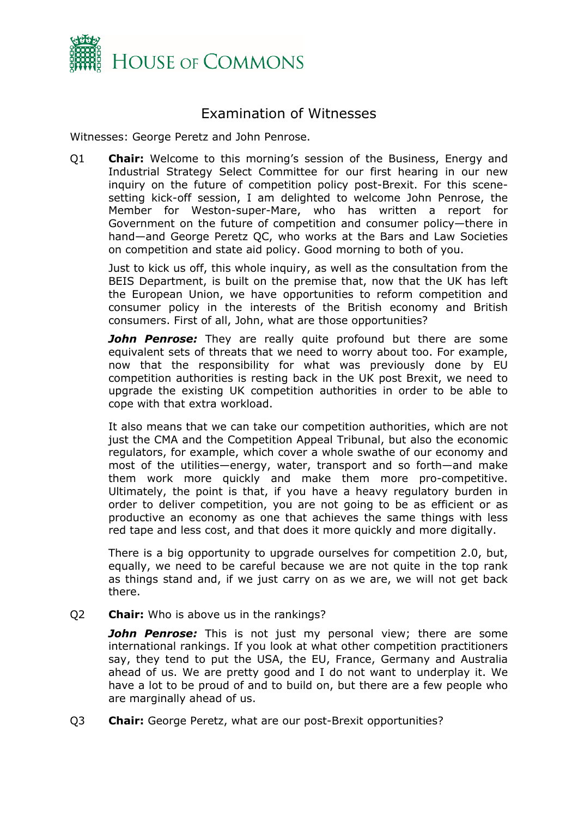

## Examination of Witnesses

Witnesses: George Peretz and John Penrose.

Q1 **Chair:** Welcome to this morning's session of the Business, Energy and Industrial Strategy Select Committee for our first hearing in our new inquiry on the future of competition policy post-Brexit. For this scenesetting kick-off session, I am delighted to welcome John Penrose, the Member for Weston-super-Mare, who has written a report for Government on the future of competition and consumer policy—there in hand—and George Peretz QC, who works at the Bars and Law Societies on competition and state aid policy. Good morning to both of you.

Just to kick us off, this whole inquiry, as well as the consultation from the BEIS Department, is built on the premise that, now that the UK has left the European Union, we have opportunities to reform competition and consumer policy in the interests of the British economy and British consumers. First of all, John, what are those opportunities?

*John Penrose:* They are really quite profound but there are some equivalent sets of threats that we need to worry about too. For example, now that the responsibility for what was previously done by EU competition authorities is resting back in the UK post Brexit, we need to upgrade the existing UK competition authorities in order to be able to cope with that extra workload.

It also means that we can take our competition authorities, which are not just the CMA and the Competition Appeal Tribunal, but also the economic regulators, for example, which cover a whole swathe of our economy and most of the utilities—energy, water, transport and so forth—and make them work more quickly and make them more pro-competitive. Ultimately, the point is that, if you have a heavy regulatory burden in order to deliver competition, you are not going to be as efficient or as productive an economy as one that achieves the same things with less red tape and less cost, and that does it more quickly and more digitally.

There is a big opportunity to upgrade ourselves for competition 2.0, but, equally, we need to be careful because we are not quite in the top rank as things stand and, if we just carry on as we are, we will not get back there.

Q2 **Chair:** Who is above us in the rankings?

*John Penrose:* This is not just my personal view; there are some international rankings. If you look at what other competition practitioners say, they tend to put the USA, the EU, France, Germany and Australia ahead of us. We are pretty good and I do not want to underplay it. We have a lot to be proud of and to build on, but there are a few people who are marginally ahead of us.

Q3 **Chair:** George Peretz, what are our post-Brexit opportunities?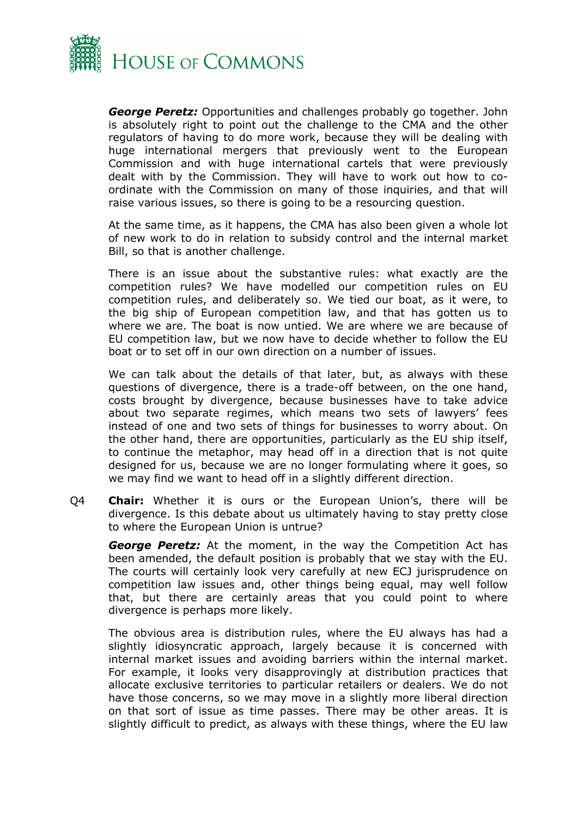

*George Peretz:* Opportunities and challenges probably go together. John is absolutely right to point out the challenge to the CMA and the other regulators of having to do more work, because they will be dealing with huge international mergers that previously went to the European Commission and with huge international cartels that were previously dealt with by the Commission. They will have to work out how to coordinate with the Commission on many of those inquiries, and that will raise various issues, so there is going to be a resourcing question.

At the same time, as it happens, the CMA has also been given a whole lot of new work to do in relation to subsidy control and the internal market Bill, so that is another challenge.

There is an issue about the substantive rules: what exactly are the competition rules? We have modelled our competition rules on EU competition rules, and deliberately so. We tied our boat, as it were, to the big ship of European competition law, and that has gotten us to where we are. The boat is now untied. We are where we are because of EU competition law, but we now have to decide whether to follow the EU boat or to set off in our own direction on a number of issues.

We can talk about the details of that later, but, as always with these questions of divergence, there is a trade-off between, on the one hand, costs brought by divergence, because businesses have to take advice about two separate regimes, which means two sets of lawyers' fees instead of one and two sets of things for businesses to worry about. On the other hand, there are opportunities, particularly as the EU ship itself, to continue the metaphor, may head off in a direction that is not quite designed for us, because we are no longer formulating where it goes, so we may find we want to head off in a slightly different direction.

Q4 **Chair:** Whether it is ours or the European Union's, there will be divergence. Is this debate about us ultimately having to stay pretty close to where the European Union is untrue?

*George Peretz:* At the moment, in the way the Competition Act has been amended, the default position is probably that we stay with the EU. The courts will certainly look very carefully at new ECJ jurisprudence on competition law issues and, other things being equal, may well follow that, but there are certainly areas that you could point to where divergence is perhaps more likely.

The obvious area is distribution rules, where the EU always has had a slightly idiosyncratic approach, largely because it is concerned with internal market issues and avoiding barriers within the internal market. For example, it looks very disapprovingly at distribution practices that allocate exclusive territories to particular retailers or dealers. We do not have those concerns, so we may move in a slightly more liberal direction on that sort of issue as time passes. There may be other areas. It is slightly difficult to predict, as always with these things, where the EU law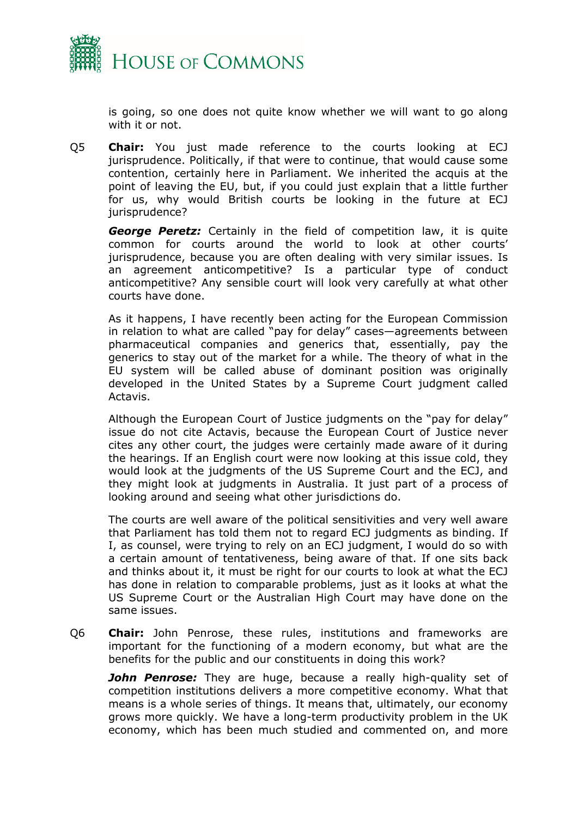

is going, so one does not quite know whether we will want to go along with it or not.

Q5 **Chair:** You just made reference to the courts looking at ECJ jurisprudence. Politically, if that were to continue, that would cause some contention, certainly here in Parliament. We inherited the acquis at the point of leaving the EU, but, if you could just explain that a little further for us, why would British courts be looking in the future at ECJ jurisprudence?

*George Peretz:* Certainly in the field of competition law, it is quite common for courts around the world to look at other courts' jurisprudence, because you are often dealing with very similar issues. Is an agreement anticompetitive? Is a particular type of conduct anticompetitive? Any sensible court will look very carefully at what other courts have done.

As it happens, I have recently been acting for the European Commission in relation to what are called "pay for delay" cases—agreements between pharmaceutical companies and generics that, essentially, pay the generics to stay out of the market for a while. The theory of what in the EU system will be called abuse of dominant position was originally developed in the United States by a Supreme Court judgment called Actavis.

Although the European Court of Justice judgments on the "pay for delay" issue do not cite Actavis, because the European Court of Justice never cites any other court, the judges were certainly made aware of it during the hearings. If an English court were now looking at this issue cold, they would look at the judgments of the US Supreme Court and the ECJ, and they might look at judgments in Australia. It just part of a process of looking around and seeing what other jurisdictions do.

The courts are well aware of the political sensitivities and very well aware that Parliament has told them not to regard ECJ judgments as binding. If I, as counsel, were trying to rely on an ECJ judgment, I would do so with a certain amount of tentativeness, being aware of that. If one sits back and thinks about it, it must be right for our courts to look at what the ECJ has done in relation to comparable problems, just as it looks at what the US Supreme Court or the Australian High Court may have done on the same issues.

Q6 **Chair:** John Penrose, these rules, institutions and frameworks are important for the functioning of a modern economy, but what are the benefits for the public and our constituents in doing this work?

**John Penrose:** They are huge, because a really high-quality set of competition institutions delivers a more competitive economy. What that means is a whole series of things. It means that, ultimately, our economy grows more quickly. We have a long-term productivity problem in the UK economy, which has been much studied and commented on, and more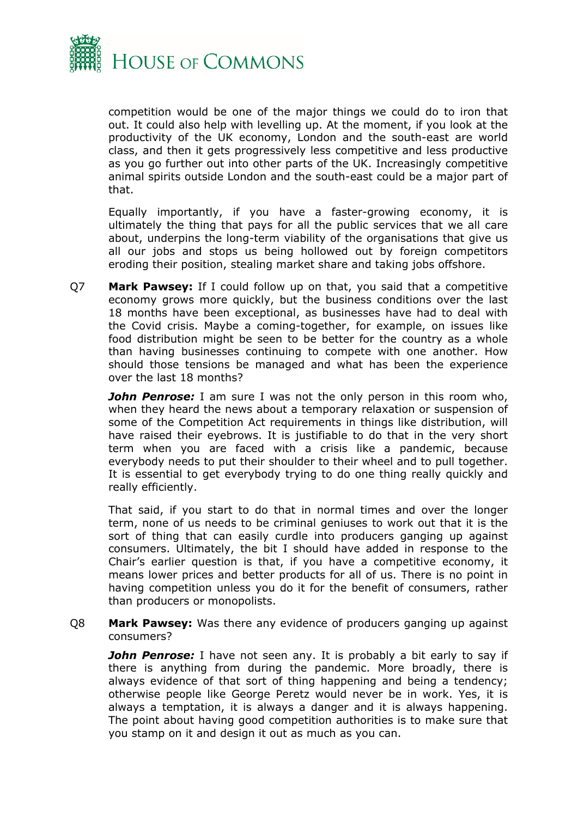

competition would be one of the major things we could do to iron that out. It could also help with levelling up. At the moment, if you look at the productivity of the UK economy, London and the south-east are world class, and then it gets progressively less competitive and less productive as you go further out into other parts of the UK. Increasingly competitive animal spirits outside London and the south-east could be a major part of that.

Equally importantly, if you have a faster-growing economy, it is ultimately the thing that pays for all the public services that we all care about, underpins the long-term viability of the organisations that give us all our jobs and stops us being hollowed out by foreign competitors eroding their position, stealing market share and taking jobs offshore.

Q7 **Mark Pawsey:** If I could follow up on that, you said that a competitive economy grows more quickly, but the business conditions over the last 18 months have been exceptional, as businesses have had to deal with the Covid crisis. Maybe a coming-together, for example, on issues like food distribution might be seen to be better for the country as a whole than having businesses continuing to compete with one another. How should those tensions be managed and what has been the experience over the last 18 months?

*John Penrose:* I am sure I was not the only person in this room who, when they heard the news about a temporary relaxation or suspension of some of the Competition Act requirements in things like distribution, will have raised their eyebrows. It is justifiable to do that in the very short term when you are faced with a crisis like a pandemic, because everybody needs to put their shoulder to their wheel and to pull together. It is essential to get everybody trying to do one thing really quickly and really efficiently.

That said, if you start to do that in normal times and over the longer term, none of us needs to be criminal geniuses to work out that it is the sort of thing that can easily curdle into producers ganging up against consumers. Ultimately, the bit I should have added in response to the Chair's earlier question is that, if you have a competitive economy, it means lower prices and better products for all of us. There is no point in having competition unless you do it for the benefit of consumers, rather than producers or monopolists.

Q8 **Mark Pawsey:** Was there any evidence of producers ganging up against consumers?

*John Penrose:* I have not seen any. It is probably a bit early to say if there is anything from during the pandemic. More broadly, there is always evidence of that sort of thing happening and being a tendency; otherwise people like George Peretz would never be in work. Yes, it is always a temptation, it is always a danger and it is always happening. The point about having good competition authorities is to make sure that you stamp on it and design it out as much as you can.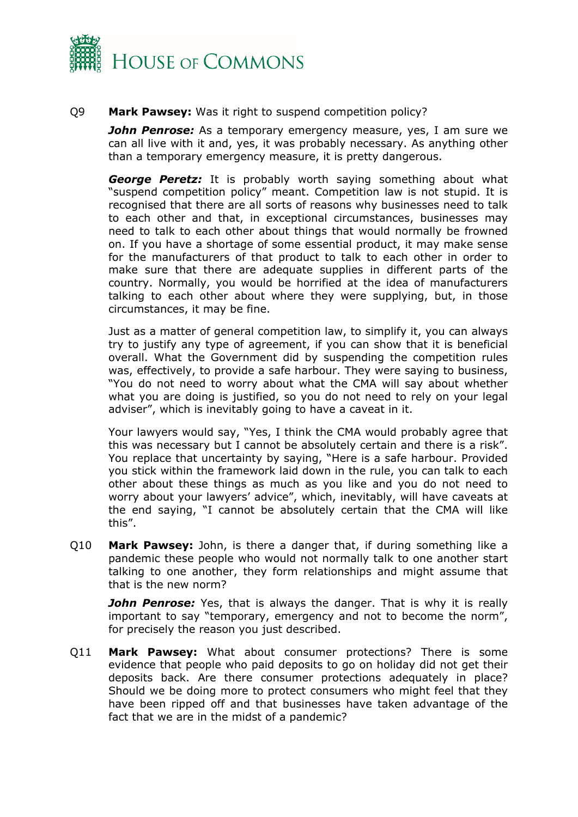

#### Q9 **Mark Pawsey:** Was it right to suspend competition policy?

*John Penrose:* As a temporary emergency measure, yes, I am sure we can all live with it and, yes, it was probably necessary. As anything other than a temporary emergency measure, it is pretty dangerous.

*George Peretz:* It is probably worth saying something about what "suspend competition policy" meant. Competition law is not stupid. It is recognised that there are all sorts of reasons why businesses need to talk to each other and that, in exceptional circumstances, businesses may need to talk to each other about things that would normally be frowned on. If you have a shortage of some essential product, it may make sense for the manufacturers of that product to talk to each other in order to make sure that there are adequate supplies in different parts of the country. Normally, you would be horrified at the idea of manufacturers talking to each other about where they were supplying, but, in those circumstances, it may be fine.

Just as a matter of general competition law, to simplify it, you can always try to justify any type of agreement, if you can show that it is beneficial overall. What the Government did by suspending the competition rules was, effectively, to provide a safe harbour. They were saying to business, "You do not need to worry about what the CMA will say about whether what you are doing is justified, so you do not need to rely on your legal adviser", which is inevitably going to have a caveat in it.

Your lawyers would say, "Yes, I think the CMA would probably agree that this was necessary but I cannot be absolutely certain and there is a risk". You replace that uncertainty by saying, "Here is a safe harbour. Provided you stick within the framework laid down in the rule, you can talk to each other about these things as much as you like and you do not need to worry about your lawyers' advice", which, inevitably, will have caveats at the end saying, "I cannot be absolutely certain that the CMA will like this".

Q10 **Mark Pawsey:** John, is there a danger that, if during something like a pandemic these people who would not normally talk to one another start talking to one another, they form relationships and might assume that that is the new norm?

*John Penrose:* Yes, that is always the danger. That is why it is really important to say "temporary, emergency and not to become the norm", for precisely the reason you just described.

Q11 **Mark Pawsey:** What about consumer protections? There is some evidence that people who paid deposits to go on holiday did not get their deposits back. Are there consumer protections adequately in place? Should we be doing more to protect consumers who might feel that they have been ripped off and that businesses have taken advantage of the fact that we are in the midst of a pandemic?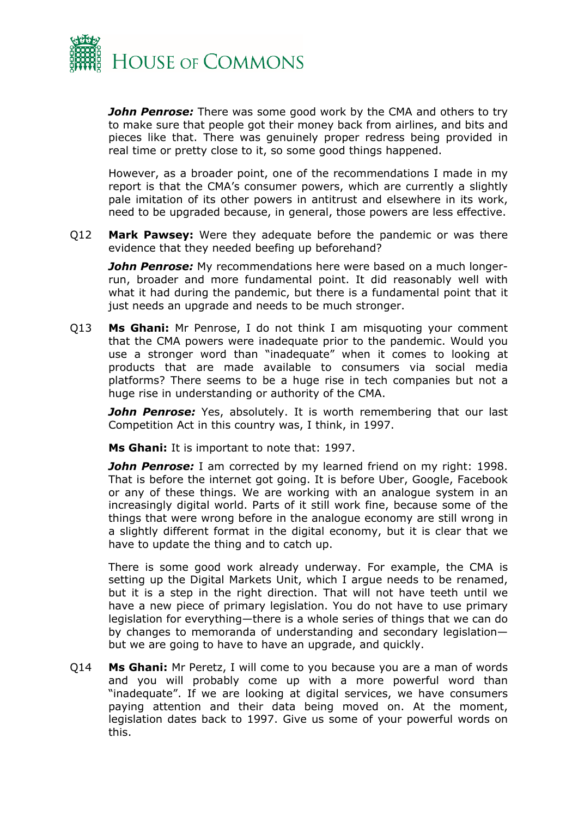

*John Penrose:* There was some good work by the CMA and others to try to make sure that people got their money back from airlines, and bits and pieces like that. There was genuinely proper redress being provided in real time or pretty close to it, so some good things happened.

However, as a broader point, one of the recommendations I made in my report is that the CMA's consumer powers, which are currently a slightly pale imitation of its other powers in antitrust and elsewhere in its work, need to be upgraded because, in general, those powers are less effective.

Q12 **Mark Pawsey:** Were they adequate before the pandemic or was there evidence that they needed beefing up beforehand?

*John Penrose:* My recommendations here were based on a much longerrun, broader and more fundamental point. It did reasonably well with what it had during the pandemic, but there is a fundamental point that it just needs an upgrade and needs to be much stronger.

Q13 **Ms Ghani:** Mr Penrose, I do not think I am misquoting your comment that the CMA powers were inadequate prior to the pandemic. Would you use a stronger word than "inadequate" when it comes to looking at products that are made available to consumers via social media platforms? There seems to be a huge rise in tech companies but not a huge rise in understanding or authority of the CMA.

*John Penrose:* Yes, absolutely. It is worth remembering that our last Competition Act in this country was, I think, in 1997.

**Ms Ghani:** It is important to note that: 1997.

*John Penrose:* I am corrected by my learned friend on my right: 1998. That is before the internet got going. It is before Uber, Google, Facebook or any of these things. We are working with an analogue system in an increasingly digital world. Parts of it still work fine, because some of the things that were wrong before in the analogue economy are still wrong in a slightly different format in the digital economy, but it is clear that we have to update the thing and to catch up.

There is some good work already underway. For example, the CMA is setting up the Digital Markets Unit, which I argue needs to be renamed, but it is a step in the right direction. That will not have teeth until we have a new piece of primary legislation. You do not have to use primary legislation for everything—there is a whole series of things that we can do by changes to memoranda of understanding and secondary legislation but we are going to have to have an upgrade, and quickly.

Q14 **Ms Ghani:** Mr Peretz, I will come to you because you are a man of words and you will probably come up with a more powerful word than "inadequate". If we are looking at digital services, we have consumers paying attention and their data being moved on. At the moment, legislation dates back to 1997. Give us some of your powerful words on this.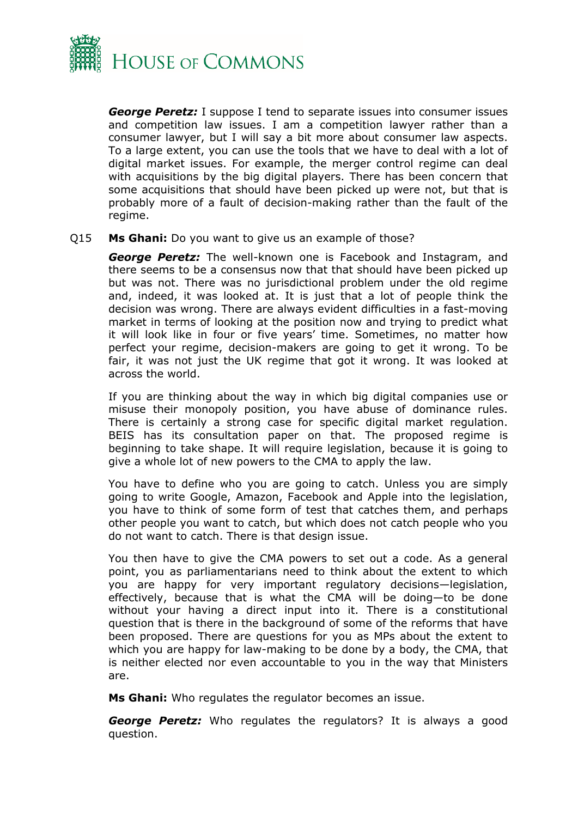

*George Peretz:* I suppose I tend to separate issues into consumer issues and competition law issues. I am a competition lawyer rather than a consumer lawyer, but I will say a bit more about consumer law aspects. To a large extent, you can use the tools that we have to deal with a lot of digital market issues. For example, the merger control regime can deal with acquisitions by the big digital players. There has been concern that some acquisitions that should have been picked up were not, but that is probably more of a fault of decision-making rather than the fault of the regime.

#### Q15 **Ms Ghani:** Do you want to give us an example of those?

*George Peretz:* The well-known one is Facebook and Instagram, and there seems to be a consensus now that that should have been picked up but was not. There was no jurisdictional problem under the old regime and, indeed, it was looked at. It is just that a lot of people think the decision was wrong. There are always evident difficulties in a fast-moving market in terms of looking at the position now and trying to predict what it will look like in four or five years' time. Sometimes, no matter how perfect your regime, decision-makers are going to get it wrong. To be fair, it was not just the UK regime that got it wrong. It was looked at across the world.

If you are thinking about the way in which big digital companies use or misuse their monopoly position, you have abuse of dominance rules. There is certainly a strong case for specific digital market regulation. BEIS has its consultation paper on that. The proposed regime is beginning to take shape. It will require legislation, because it is going to give a whole lot of new powers to the CMA to apply the law.

You have to define who you are going to catch. Unless you are simply going to write Google, Amazon, Facebook and Apple into the legislation, you have to think of some form of test that catches them, and perhaps other people you want to catch, but which does not catch people who you do not want to catch. There is that design issue.

You then have to give the CMA powers to set out a code. As a general point, you as parliamentarians need to think about the extent to which you are happy for very important regulatory decisions—legislation, effectively, because that is what the CMA will be doing—to be done without your having a direct input into it. There is a constitutional question that is there in the background of some of the reforms that have been proposed. There are questions for you as MPs about the extent to which you are happy for law-making to be done by a body, the CMA, that is neither elected nor even accountable to you in the way that Ministers are.

**Ms Ghani:** Who regulates the regulator becomes an issue.

*George Peretz:* Who regulates the regulators? It is always a good question.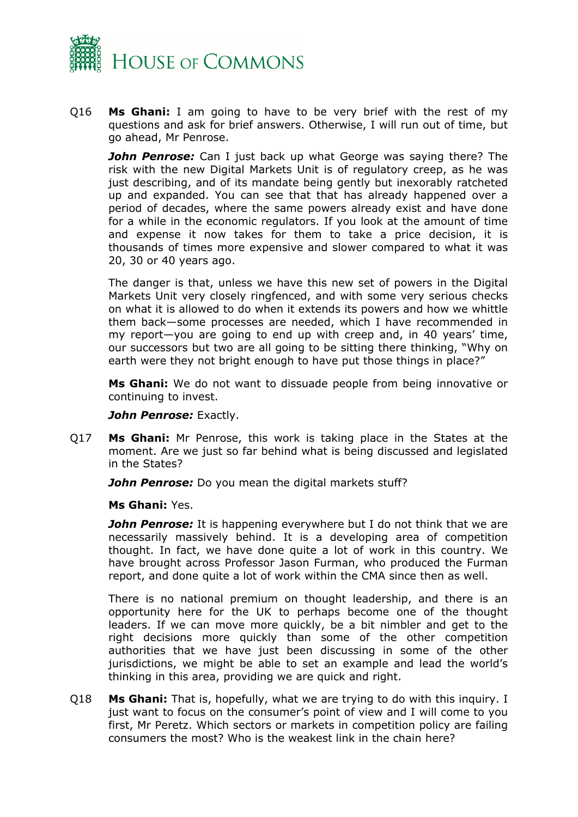

Q16 **Ms Ghani:** I am going to have to be very brief with the rest of my questions and ask for brief answers. Otherwise, I will run out of time, but go ahead, Mr Penrose.

*John Penrose:* Can I just back up what George was saying there? The risk with the new Digital Markets Unit is of regulatory creep, as he was just describing, and of its mandate being gently but inexorably ratcheted up and expanded. You can see that that has already happened over a period of decades, where the same powers already exist and have done for a while in the economic regulators. If you look at the amount of time and expense it now takes for them to take a price decision, it is thousands of times more expensive and slower compared to what it was 20, 30 or 40 years ago.

The danger is that, unless we have this new set of powers in the Digital Markets Unit very closely ringfenced, and with some very serious checks on what it is allowed to do when it extends its powers and how we whittle them back—some processes are needed, which I have recommended in my report—you are going to end up with creep and, in 40 years' time, our successors but two are all going to be sitting there thinking, "Why on earth were they not bright enough to have put those things in place?"

**Ms Ghani:** We do not want to dissuade people from being innovative or continuing to invest.

#### *John Penrose:* Exactly.

Q17 **Ms Ghani:** Mr Penrose, this work is taking place in the States at the moment. Are we just so far behind what is being discussed and legislated in the States?

*John Penrose:* Do you mean the digital markets stuff?

#### **Ms Ghani:** Yes.

*John Penrose:* It is happening everywhere but I do not think that we are necessarily massively behind. It is a developing area of competition thought. In fact, we have done quite a lot of work in this country. We have brought across Professor Jason Furman, who produced the Furman report, and done quite a lot of work within the CMA since then as well.

There is no national premium on thought leadership, and there is an opportunity here for the UK to perhaps become one of the thought leaders. If we can move more quickly, be a bit nimbler and get to the right decisions more quickly than some of the other competition authorities that we have just been discussing in some of the other jurisdictions, we might be able to set an example and lead the world's thinking in this area, providing we are quick and right.

Q18 **Ms Ghani:** That is, hopefully, what we are trying to do with this inquiry. I just want to focus on the consumer's point of view and I will come to you first, Mr Peretz. Which sectors or markets in competition policy are failing consumers the most? Who is the weakest link in the chain here?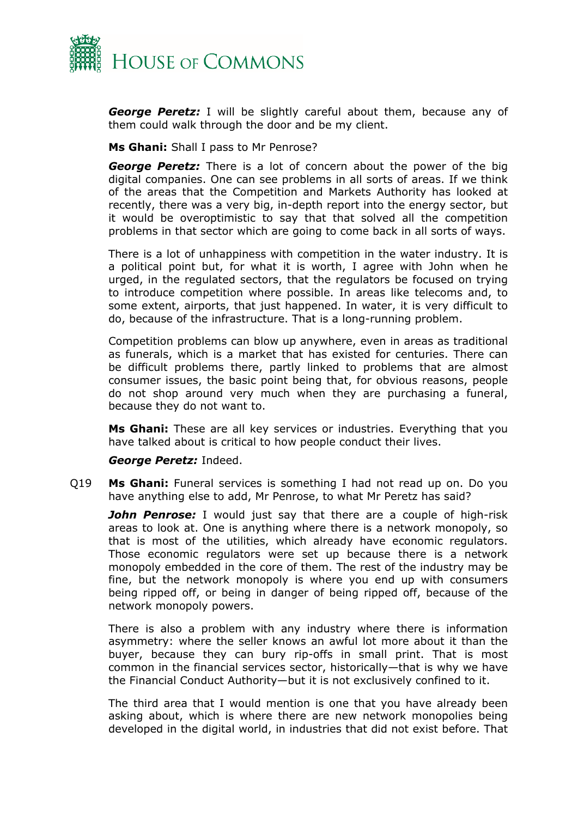

*George Peretz:* I will be slightly careful about them, because any of them could walk through the door and be my client.

**Ms Ghani:** Shall I pass to Mr Penrose?

*George Peretz:* There is a lot of concern about the power of the big digital companies. One can see problems in all sorts of areas. If we think of the areas that the Competition and Markets Authority has looked at recently, there was a very big, in-depth report into the energy sector, but it would be overoptimistic to say that that solved all the competition problems in that sector which are going to come back in all sorts of ways.

There is a lot of unhappiness with competition in the water industry. It is a political point but, for what it is worth, I agree with John when he urged, in the regulated sectors, that the regulators be focused on trying to introduce competition where possible. In areas like telecoms and, to some extent, airports, that just happened. In water, it is very difficult to do, because of the infrastructure. That is a long-running problem.

Competition problems can blow up anywhere, even in areas as traditional as funerals, which is a market that has existed for centuries. There can be difficult problems there, partly linked to problems that are almost consumer issues, the basic point being that, for obvious reasons, people do not shop around very much when they are purchasing a funeral, because they do not want to.

**Ms Ghani:** These are all key services or industries. Everything that you have talked about is critical to how people conduct their lives.

*George Peretz:* Indeed.

Q19 **Ms Ghani:** Funeral services is something I had not read up on. Do you have anything else to add, Mr Penrose, to what Mr Peretz has said?

*John Penrose:* I would just say that there are a couple of high-risk areas to look at. One is anything where there is a network monopoly, so that is most of the utilities, which already have economic regulators. Those economic regulators were set up because there is a network monopoly embedded in the core of them. The rest of the industry may be fine, but the network monopoly is where you end up with consumers being ripped off, or being in danger of being ripped off, because of the network monopoly powers.

There is also a problem with any industry where there is information asymmetry: where the seller knows an awful lot more about it than the buyer, because they can bury rip-offs in small print. That is most common in the financial services sector, historically—that is why we have the Financial Conduct Authority—but it is not exclusively confined to it.

The third area that I would mention is one that you have already been asking about, which is where there are new network monopolies being developed in the digital world, in industries that did not exist before. That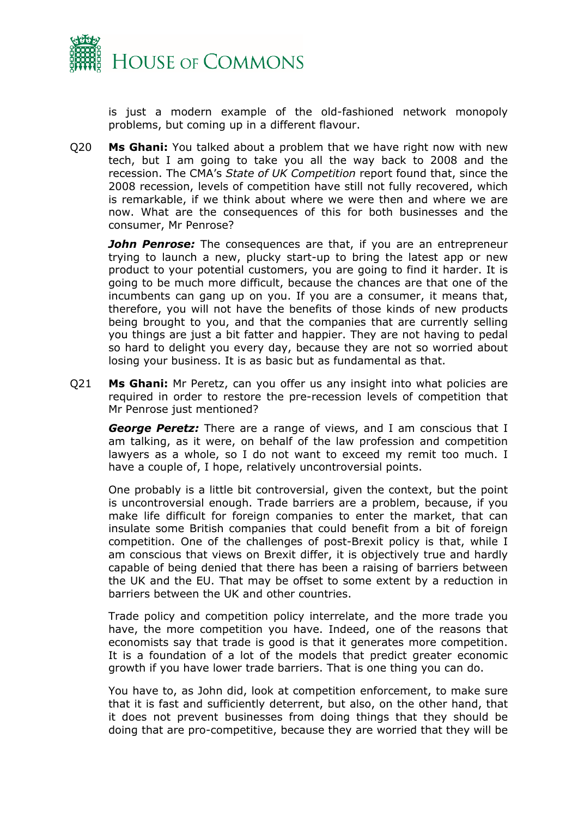

is just a modern example of the old-fashioned network monopoly problems, but coming up in a different flavour.

Q20 **Ms Ghani:** You talked about a problem that we have right now with new tech, but I am going to take you all the way back to 2008 and the recession. The CMA's *State of UK Competition* report found that, since the 2008 recession, levels of competition have still not fully recovered, which is remarkable, if we think about where we were then and where we are now. What are the consequences of this for both businesses and the consumer, Mr Penrose?

*John Penrose:* The consequences are that, if you are an entrepreneur trying to launch a new, plucky start-up to bring the latest app or new product to your potential customers, you are going to find it harder. It is going to be much more difficult, because the chances are that one of the incumbents can gang up on you. If you are a consumer, it means that, therefore, you will not have the benefits of those kinds of new products being brought to you, and that the companies that are currently selling you things are just a bit fatter and happier. They are not having to pedal so hard to delight you every day, because they are not so worried about losing your business. It is as basic but as fundamental as that.

Q21 **Ms Ghani:** Mr Peretz, can you offer us any insight into what policies are required in order to restore the pre-recession levels of competition that Mr Penrose just mentioned?

*George Peretz:* There are a range of views, and I am conscious that I am talking, as it were, on behalf of the law profession and competition lawyers as a whole, so I do not want to exceed my remit too much. I have a couple of, I hope, relatively uncontroversial points.

One probably is a little bit controversial, given the context, but the point is uncontroversial enough. Trade barriers are a problem, because, if you make life difficult for foreign companies to enter the market, that can insulate some British companies that could benefit from a bit of foreign competition. One of the challenges of post-Brexit policy is that, while I am conscious that views on Brexit differ, it is objectively true and hardly capable of being denied that there has been a raising of barriers between the UK and the EU. That may be offset to some extent by a reduction in barriers between the UK and other countries.

Trade policy and competition policy interrelate, and the more trade you have, the more competition you have. Indeed, one of the reasons that economists say that trade is good is that it generates more competition. It is a foundation of a lot of the models that predict greater economic growth if you have lower trade barriers. That is one thing you can do.

You have to, as John did, look at competition enforcement, to make sure that it is fast and sufficiently deterrent, but also, on the other hand, that it does not prevent businesses from doing things that they should be doing that are pro-competitive, because they are worried that they will be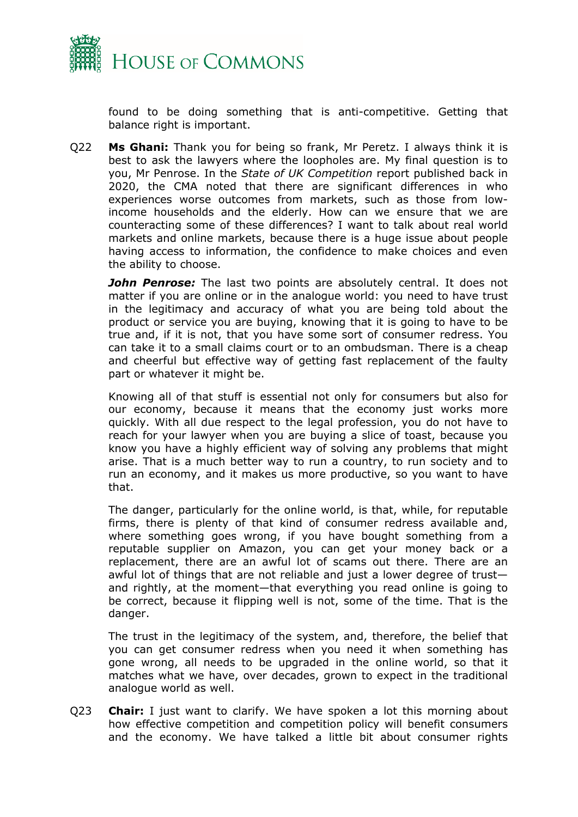

found to be doing something that is anti-competitive. Getting that balance right is important.

Q22 **Ms Ghani:** Thank you for being so frank, Mr Peretz. I always think it is best to ask the lawyers where the loopholes are. My final question is to you, Mr Penrose. In the *State of UK Competition* report published back in 2020, the CMA noted that there are significant differences in who experiences worse outcomes from markets, such as those from lowincome households and the elderly. How can we ensure that we are counteracting some of these differences? I want to talk about real world markets and online markets, because there is a huge issue about people having access to information, the confidence to make choices and even the ability to choose.

*John Penrose:* The last two points are absolutely central. It does not matter if you are online or in the analogue world: you need to have trust in the legitimacy and accuracy of what you are being told about the product or service you are buying, knowing that it is going to have to be true and, if it is not, that you have some sort of consumer redress. You can take it to a small claims court or to an ombudsman. There is a cheap and cheerful but effective way of getting fast replacement of the faulty part or whatever it might be.

Knowing all of that stuff is essential not only for consumers but also for our economy, because it means that the economy just works more quickly. With all due respect to the legal profession, you do not have to reach for your lawyer when you are buying a slice of toast, because you know you have a highly efficient way of solving any problems that might arise. That is a much better way to run a country, to run society and to run an economy, and it makes us more productive, so you want to have that.

The danger, particularly for the online world, is that, while, for reputable firms, there is plenty of that kind of consumer redress available and, where something goes wrong, if you have bought something from a reputable supplier on Amazon, you can get your money back or a replacement, there are an awful lot of scams out there. There are an awful lot of things that are not reliable and just a lower degree of trust and rightly, at the moment—that everything you read online is going to be correct, because it flipping well is not, some of the time. That is the danger.

The trust in the legitimacy of the system, and, therefore, the belief that you can get consumer redress when you need it when something has gone wrong, all needs to be upgraded in the online world, so that it matches what we have, over decades, grown to expect in the traditional analogue world as well.

Q23 **Chair:** I just want to clarify. We have spoken a lot this morning about how effective competition and competition policy will benefit consumers and the economy. We have talked a little bit about consumer rights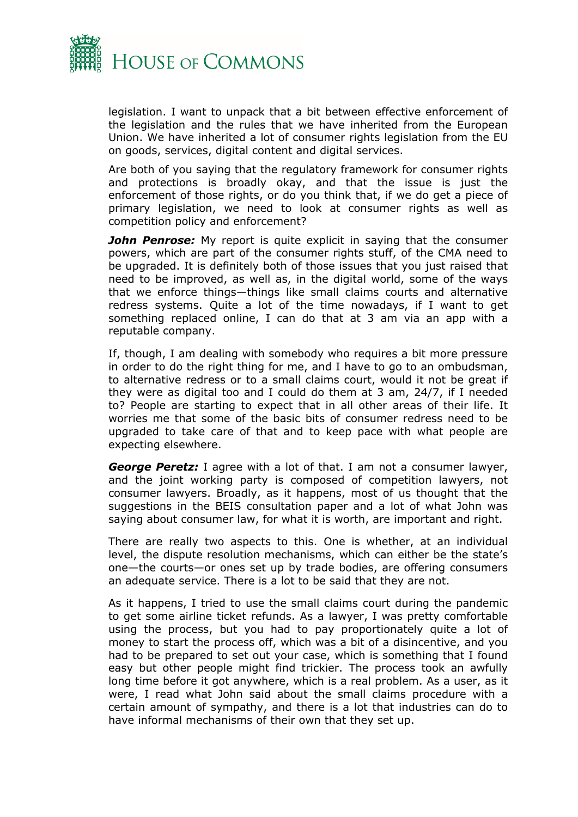

legislation. I want to unpack that a bit between effective enforcement of the legislation and the rules that we have inherited from the European Union. We have inherited a lot of consumer rights legislation from the EU on goods, services, digital content and digital services.

Are both of you saying that the regulatory framework for consumer rights and protections is broadly okay, and that the issue is just the enforcement of those rights, or do you think that, if we do get a piece of primary legislation, we need to look at consumer rights as well as competition policy and enforcement?

*John Penrose:* My report is quite explicit in saying that the consumer powers, which are part of the consumer rights stuff, of the CMA need to be upgraded. It is definitely both of those issues that you just raised that need to be improved, as well as, in the digital world, some of the ways that we enforce things—things like small claims courts and alternative redress systems. Quite a lot of the time nowadays, if I want to get something replaced online, I can do that at 3 am via an app with a reputable company.

If, though, I am dealing with somebody who requires a bit more pressure in order to do the right thing for me, and I have to go to an ombudsman, to alternative redress or to a small claims court, would it not be great if they were as digital too and I could do them at 3 am, 24/7, if I needed to? People are starting to expect that in all other areas of their life. It worries me that some of the basic bits of consumer redress need to be upgraded to take care of that and to keep pace with what people are expecting elsewhere.

*George Peretz:* I agree with a lot of that. I am not a consumer lawyer, and the joint working party is composed of competition lawyers, not consumer lawyers. Broadly, as it happens, most of us thought that the suggestions in the BEIS consultation paper and a lot of what John was saying about consumer law, for what it is worth, are important and right.

There are really two aspects to this. One is whether, at an individual level, the dispute resolution mechanisms, which can either be the state's one—the courts—or ones set up by trade bodies, are offering consumers an adequate service. There is a lot to be said that they are not.

As it happens, I tried to use the small claims court during the pandemic to get some airline ticket refunds. As a lawyer, I was pretty comfortable using the process, but you had to pay proportionately quite a lot of money to start the process off, which was a bit of a disincentive, and you had to be prepared to set out your case, which is something that I found easy but other people might find trickier. The process took an awfully long time before it got anywhere, which is a real problem. As a user, as it were, I read what John said about the small claims procedure with a certain amount of sympathy, and there is a lot that industries can do to have informal mechanisms of their own that they set up.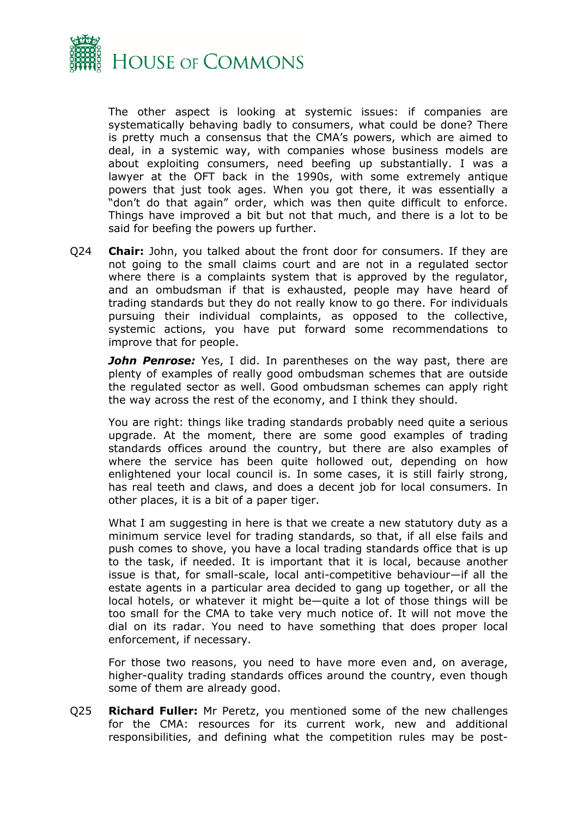

The other aspect is looking at systemic issues: if companies are systematically behaving badly to consumers, what could be done? There is pretty much a consensus that the CMA's powers, which are aimed to deal, in a systemic way, with companies whose business models are about exploiting consumers, need beefing up substantially. I was a lawyer at the OFT back in the 1990s, with some extremely antique powers that just took ages. When you got there, it was essentially a "don't do that again" order, which was then quite difficult to enforce. Things have improved a bit but not that much, and there is a lot to be said for beefing the powers up further.

Q24 **Chair:** John, you talked about the front door for consumers. If they are not going to the small claims court and are not in a regulated sector where there is a complaints system that is approved by the regulator, and an ombudsman if that is exhausted, people may have heard of trading standards but they do not really know to go there. For individuals pursuing their individual complaints, as opposed to the collective, systemic actions, you have put forward some recommendations to improve that for people.

*John Penrose:* Yes, I did. In parentheses on the way past, there are plenty of examples of really good ombudsman schemes that are outside the regulated sector as well. Good ombudsman schemes can apply right the way across the rest of the economy, and I think they should.

You are right: things like trading standards probably need quite a serious upgrade. At the moment, there are some good examples of trading standards offices around the country, but there are also examples of where the service has been quite hollowed out, depending on how enlightened your local council is. In some cases, it is still fairly strong, has real teeth and claws, and does a decent job for local consumers. In other places, it is a bit of a paper tiger.

What I am suggesting in here is that we create a new statutory duty as a minimum service level for trading standards, so that, if all else fails and push comes to shove, you have a local trading standards office that is up to the task, if needed. It is important that it is local, because another issue is that, for small-scale, local anti-competitive behaviour—if all the estate agents in a particular area decided to gang up together, or all the local hotels, or whatever it might be—quite a lot of those things will be too small for the CMA to take very much notice of. It will not move the dial on its radar. You need to have something that does proper local enforcement, if necessary.

For those two reasons, you need to have more even and, on average, higher-quality trading standards offices around the country, even though some of them are already good.

Q25 **Richard Fuller:** Mr Peretz, you mentioned some of the new challenges for the CMA: resources for its current work, new and additional responsibilities, and defining what the competition rules may be post-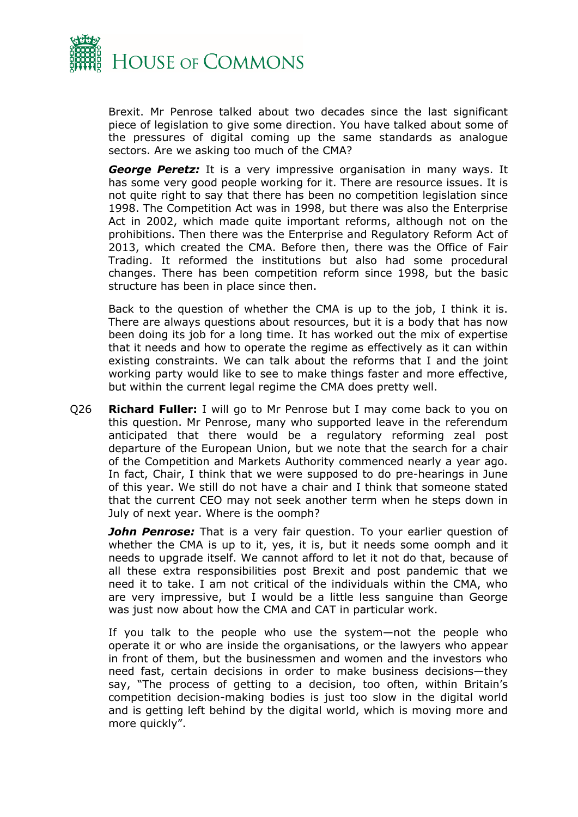

Brexit. Mr Penrose talked about two decades since the last significant piece of legislation to give some direction. You have talked about some of the pressures of digital coming up the same standards as analogue sectors. Are we asking too much of the CMA?

*George Peretz:* It is a very impressive organisation in many ways. It has some very good people working for it. There are resource issues. It is not quite right to say that there has been no competition legislation since 1998. The Competition Act was in 1998, but there was also the Enterprise Act in 2002, which made quite important reforms, although not on the prohibitions. Then there was the Enterprise and Regulatory Reform Act of 2013, which created the CMA. Before then, there was the Office of Fair Trading. It reformed the institutions but also had some procedural changes. There has been competition reform since 1998, but the basic structure has been in place since then.

Back to the question of whether the CMA is up to the job, I think it is. There are always questions about resources, but it is a body that has now been doing its job for a long time. It has worked out the mix of expertise that it needs and how to operate the regime as effectively as it can within existing constraints. We can talk about the reforms that I and the joint working party would like to see to make things faster and more effective, but within the current legal regime the CMA does pretty well.

Q26 **Richard Fuller:** I will go to Mr Penrose but I may come back to you on this question. Mr Penrose, many who supported leave in the referendum anticipated that there would be a regulatory reforming zeal post departure of the European Union, but we note that the search for a chair of the Competition and Markets Authority commenced nearly a year ago. In fact, Chair, I think that we were supposed to do pre-hearings in June of this year. We still do not have a chair and I think that someone stated that the current CEO may not seek another term when he steps down in July of next year. Where is the oomph?

**John Penrose:** That is a very fair question. To your earlier question of whether the CMA is up to it, yes, it is, but it needs some oomph and it needs to upgrade itself. We cannot afford to let it not do that, because of all these extra responsibilities post Brexit and post pandemic that we need it to take. I am not critical of the individuals within the CMA, who are very impressive, but I would be a little less sanguine than George was just now about how the CMA and CAT in particular work.

If you talk to the people who use the system—not the people who operate it or who are inside the organisations, or the lawyers who appear in front of them, but the businessmen and women and the investors who need fast, certain decisions in order to make business decisions—they say, "The process of getting to a decision, too often, within Britain's competition decision-making bodies is just too slow in the digital world and is getting left behind by the digital world, which is moving more and more quickly".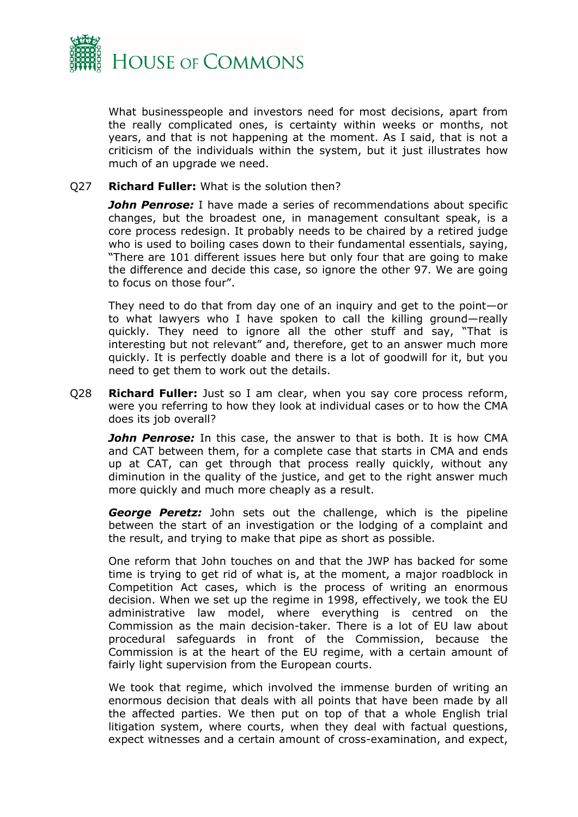

What businesspeople and investors need for most decisions, apart from the really complicated ones, is certainty within weeks or months, not years, and that is not happening at the moment. As I said, that is not a criticism of the individuals within the system, but it just illustrates how much of an upgrade we need.

#### Q27 **Richard Fuller:** What is the solution then?

**John Penrose:** I have made a series of recommendations about specific changes, but the broadest one, in management consultant speak, is a core process redesign. It probably needs to be chaired by a retired judge who is used to boiling cases down to their fundamental essentials, saying, "There are 101 different issues here but only four that are going to make the difference and decide this case, so ignore the other 97. We are going to focus on those four".

They need to do that from day one of an inquiry and get to the point—or to what lawyers who I have spoken to call the killing ground—really quickly. They need to ignore all the other stuff and say, "That is interesting but not relevant" and, therefore, get to an answer much more quickly. It is perfectly doable and there is a lot of goodwill for it, but you need to get them to work out the details.

Q28 **Richard Fuller:** Just so I am clear, when you say core process reform, were you referring to how they look at individual cases or to how the CMA does its job overall?

*John Penrose:* In this case, the answer to that is both. It is how CMA and CAT between them, for a complete case that starts in CMA and ends up at CAT, can get through that process really quickly, without any diminution in the quality of the justice, and get to the right answer much more quickly and much more cheaply as a result.

*George Peretz:* John sets out the challenge, which is the pipeline between the start of an investigation or the lodging of a complaint and the result, and trying to make that pipe as short as possible.

One reform that John touches on and that the JWP has backed for some time is trying to get rid of what is, at the moment, a major roadblock in Competition Act cases, which is the process of writing an enormous decision. When we set up the regime in 1998, effectively, we took the EU administrative law model, where everything is centred on the Commission as the main decision-taker. There is a lot of EU law about procedural safeguards in front of the Commission, because the Commission is at the heart of the EU regime, with a certain amount of fairly light supervision from the European courts.

We took that regime, which involved the immense burden of writing an enormous decision that deals with all points that have been made by all the affected parties. We then put on top of that a whole English trial litigation system, where courts, when they deal with factual questions, expect witnesses and a certain amount of cross-examination, and expect,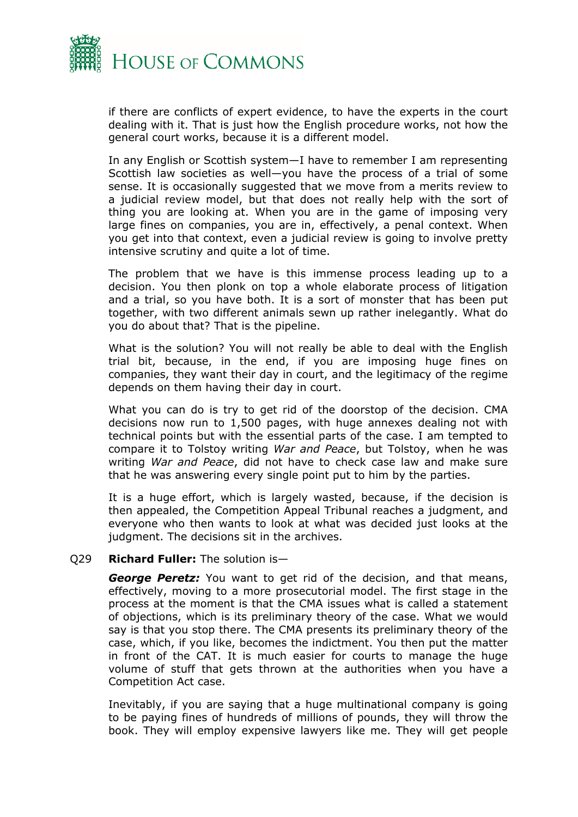

if there are conflicts of expert evidence, to have the experts in the court dealing with it. That is just how the English procedure works, not how the general court works, because it is a different model.

In any English or Scottish system—I have to remember I am representing Scottish law societies as well—you have the process of a trial of some sense. It is occasionally suggested that we move from a merits review to a judicial review model, but that does not really help with the sort of thing you are looking at. When you are in the game of imposing very large fines on companies, you are in, effectively, a penal context. When you get into that context, even a judicial review is going to involve pretty intensive scrutiny and quite a lot of time.

The problem that we have is this immense process leading up to a decision. You then plonk on top a whole elaborate process of litigation and a trial, so you have both. It is a sort of monster that has been put together, with two different animals sewn up rather inelegantly. What do you do about that? That is the pipeline.

What is the solution? You will not really be able to deal with the English trial bit, because, in the end, if you are imposing huge fines on companies, they want their day in court, and the legitimacy of the regime depends on them having their day in court.

What you can do is try to get rid of the doorstop of the decision. CMA decisions now run to 1,500 pages, with huge annexes dealing not with technical points but with the essential parts of the case. I am tempted to compare it to Tolstoy writing *War and Peace*, but Tolstoy, when he was writing *War and Peace*, did not have to check case law and make sure that he was answering every single point put to him by the parties.

It is a huge effort, which is largely wasted, because, if the decision is then appealed, the Competition Appeal Tribunal reaches a judgment, and everyone who then wants to look at what was decided just looks at the judgment. The decisions sit in the archives.

#### Q29 **Richard Fuller:** The solution is—

*George Peretz:* You want to get rid of the decision, and that means, effectively, moving to a more prosecutorial model. The first stage in the process at the moment is that the CMA issues what is called a statement of objections, which is its preliminary theory of the case. What we would say is that you stop there. The CMA presents its preliminary theory of the case, which, if you like, becomes the indictment. You then put the matter in front of the CAT. It is much easier for courts to manage the huge volume of stuff that gets thrown at the authorities when you have a Competition Act case.

Inevitably, if you are saying that a huge multinational company is going to be paying fines of hundreds of millions of pounds, they will throw the book. They will employ expensive lawyers like me. They will get people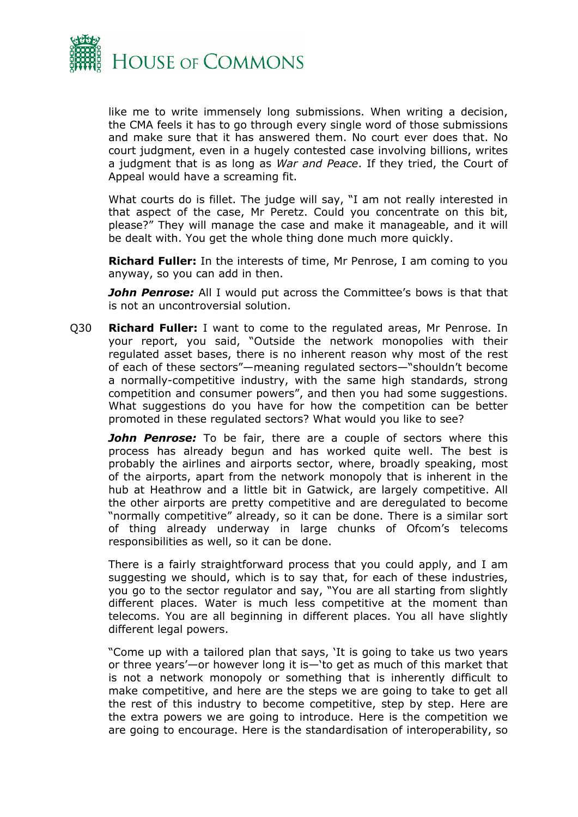

like me to write immensely long submissions. When writing a decision, the CMA feels it has to go through every single word of those submissions and make sure that it has answered them. No court ever does that. No court judgment, even in a hugely contested case involving billions, writes a judgment that is as long as *War and Peace*. If they tried, the Court of Appeal would have a screaming fit.

What courts do is fillet. The judge will say, "I am not really interested in that aspect of the case, Mr Peretz. Could you concentrate on this bit, please?" They will manage the case and make it manageable, and it will be dealt with. You get the whole thing done much more quickly.

**Richard Fuller:** In the interests of time, Mr Penrose, I am coming to you anyway, so you can add in then.

**John Penrose:** All I would put across the Committee's bows is that that is not an uncontroversial solution.

Q30 **Richard Fuller:** I want to come to the regulated areas, Mr Penrose. In your report, you said, "Outside the network monopolies with their regulated asset bases, there is no inherent reason why most of the rest of each of these sectors"—meaning regulated sectors—"shouldn't become a normally-competitive industry, with the same high standards, strong competition and consumer powers", and then you had some suggestions. What suggestions do you have for how the competition can be better promoted in these regulated sectors? What would you like to see?

**John Penrose:** To be fair, there are a couple of sectors where this process has already begun and has worked quite well. The best is probably the airlines and airports sector, where, broadly speaking, most of the airports, apart from the network monopoly that is inherent in the hub at Heathrow and a little bit in Gatwick, are largely competitive. All the other airports are pretty competitive and are deregulated to become "normally competitive" already, so it can be done. There is a similar sort of thing already underway in large chunks of Ofcom's telecoms responsibilities as well, so it can be done.

There is a fairly straightforward process that you could apply, and I am suggesting we should, which is to say that, for each of these industries, you go to the sector regulator and say, "You are all starting from slightly different places. Water is much less competitive at the moment than telecoms. You are all beginning in different places. You all have slightly different legal powers.

"Come up with a tailored plan that says, 'It is going to take us two years or three years'—or however long it is—'to get as much of this market that is not a network monopoly or something that is inherently difficult to make competitive, and here are the steps we are going to take to get all the rest of this industry to become competitive, step by step. Here are the extra powers we are going to introduce. Here is the competition we are going to encourage. Here is the standardisation of interoperability, so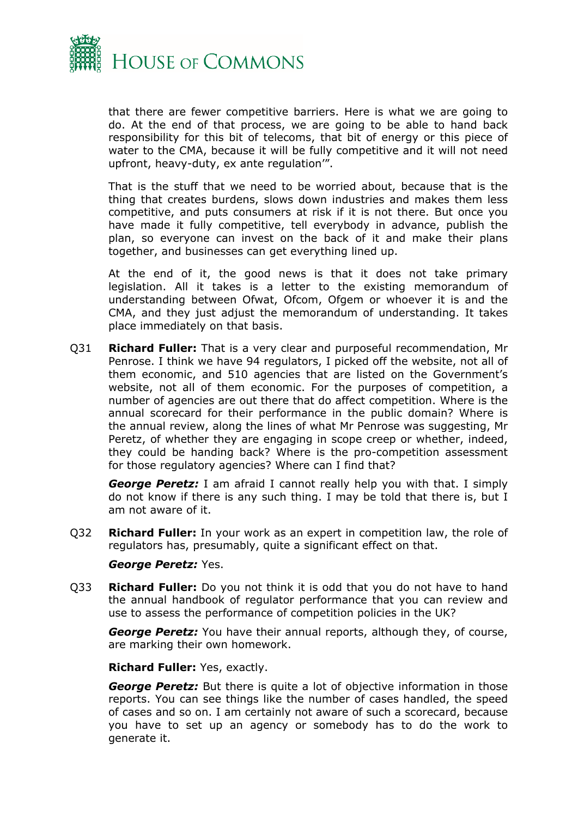

that there are fewer competitive barriers. Here is what we are going to do. At the end of that process, we are going to be able to hand back responsibility for this bit of telecoms, that bit of energy or this piece of water to the CMA, because it will be fully competitive and it will not need upfront, heavy-duty, ex ante regulation'".

That is the stuff that we need to be worried about, because that is the thing that creates burdens, slows down industries and makes them less competitive, and puts consumers at risk if it is not there. But once you have made it fully competitive, tell everybody in advance, publish the plan, so everyone can invest on the back of it and make their plans together, and businesses can get everything lined up.

At the end of it, the good news is that it does not take primary legislation. All it takes is a letter to the existing memorandum of understanding between Ofwat, Ofcom, Ofgem or whoever it is and the CMA, and they just adjust the memorandum of understanding. It takes place immediately on that basis.

Q31 **Richard Fuller:** That is a very clear and purposeful recommendation, Mr Penrose. I think we have 94 regulators, I picked off the website, not all of them economic, and 510 agencies that are listed on the Government's website, not all of them economic. For the purposes of competition, a number of agencies are out there that do affect competition. Where is the annual scorecard for their performance in the public domain? Where is the annual review, along the lines of what Mr Penrose was suggesting, Mr Peretz, of whether they are engaging in scope creep or whether, indeed, they could be handing back? Where is the pro-competition assessment for those regulatory agencies? Where can I find that?

*George Peretz:* I am afraid I cannot really help you with that. I simply do not know if there is any such thing. I may be told that there is, but I am not aware of it.

Q32 **Richard Fuller:** In your work as an expert in competition law, the role of regulators has, presumably, quite a significant effect on that.

#### *George Peretz:* Yes.

Q33 **Richard Fuller:** Do you not think it is odd that you do not have to hand the annual handbook of regulator performance that you can review and use to assess the performance of competition policies in the UK?

*George Peretz:* You have their annual reports, although they, of course, are marking their own homework.

**Richard Fuller:** Yes, exactly.

*George Peretz:* But there is quite a lot of objective information in those reports. You can see things like the number of cases handled, the speed of cases and so on. I am certainly not aware of such a scorecard, because you have to set up an agency or somebody has to do the work to generate it.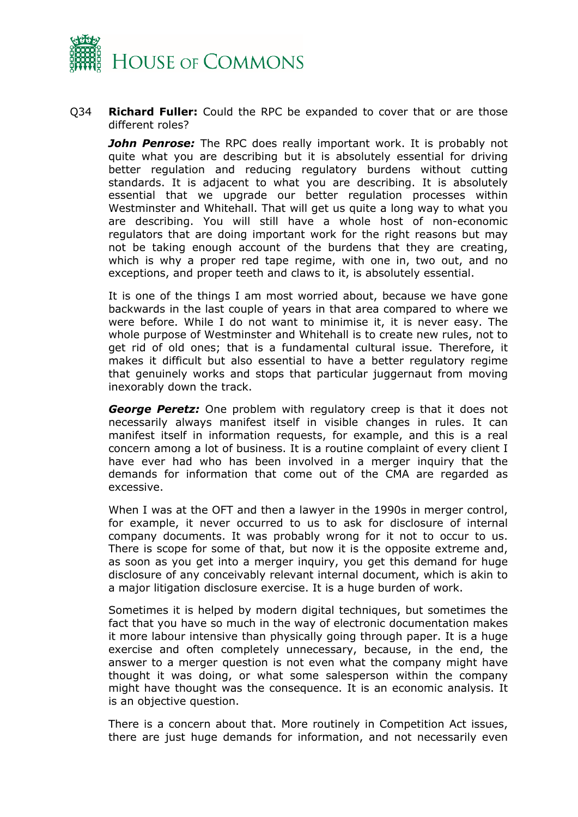

Q34 **Richard Fuller:** Could the RPC be expanded to cover that or are those different roles?

*John Penrose:* The RPC does really important work. It is probably not quite what you are describing but it is absolutely essential for driving better regulation and reducing regulatory burdens without cutting standards. It is adjacent to what you are describing. It is absolutely essential that we upgrade our better regulation processes within Westminster and Whitehall. That will get us quite a long way to what you are describing. You will still have a whole host of non-economic regulators that are doing important work for the right reasons but may not be taking enough account of the burdens that they are creating, which is why a proper red tape regime, with one in, two out, and no exceptions, and proper teeth and claws to it, is absolutely essential.

It is one of the things I am most worried about, because we have gone backwards in the last couple of years in that area compared to where we were before. While I do not want to minimise it, it is never easy. The whole purpose of Westminster and Whitehall is to create new rules, not to get rid of old ones; that is a fundamental cultural issue. Therefore, it makes it difficult but also essential to have a better regulatory regime that genuinely works and stops that particular juggernaut from moving inexorably down the track.

*George Peretz:* One problem with regulatory creep is that it does not necessarily always manifest itself in visible changes in rules. It can manifest itself in information requests, for example, and this is a real concern among a lot of business. It is a routine complaint of every client I have ever had who has been involved in a merger inquiry that the demands for information that come out of the CMA are regarded as excessive.

When I was at the OFT and then a lawyer in the 1990s in merger control, for example, it never occurred to us to ask for disclosure of internal company documents. It was probably wrong for it not to occur to us. There is scope for some of that, but now it is the opposite extreme and, as soon as you get into a merger inquiry, you get this demand for huge disclosure of any conceivably relevant internal document, which is akin to a major litigation disclosure exercise. It is a huge burden of work.

Sometimes it is helped by modern digital techniques, but sometimes the fact that you have so much in the way of electronic documentation makes it more labour intensive than physically going through paper. It is a huge exercise and often completely unnecessary, because, in the end, the answer to a merger question is not even what the company might have thought it was doing, or what some salesperson within the company might have thought was the consequence. It is an economic analysis. It is an objective question.

There is a concern about that. More routinely in Competition Act issues, there are just huge demands for information, and not necessarily even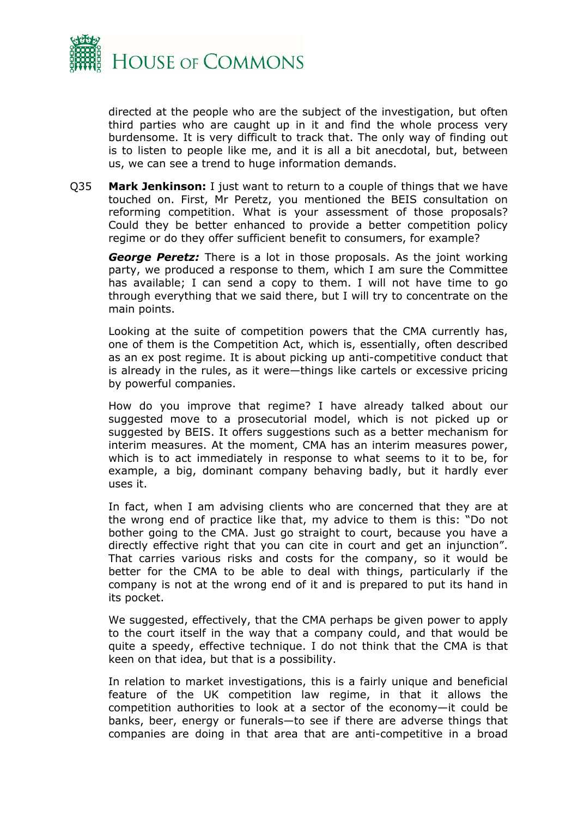

directed at the people who are the subject of the investigation, but often third parties who are caught up in it and find the whole process very burdensome. It is very difficult to track that. The only way of finding out is to listen to people like me, and it is all a bit anecdotal, but, between us, we can see a trend to huge information demands.

Q35 **Mark Jenkinson:** I just want to return to a couple of things that we have touched on. First, Mr Peretz, you mentioned the BEIS consultation on reforming competition. What is your assessment of those proposals? Could they be better enhanced to provide a better competition policy regime or do they offer sufficient benefit to consumers, for example?

*George Peretz:* There is a lot in those proposals. As the joint working party, we produced a response to them, which I am sure the Committee has available; I can send a copy to them. I will not have time to go through everything that we said there, but I will try to concentrate on the main points.

Looking at the suite of competition powers that the CMA currently has, one of them is the Competition Act, which is, essentially, often described as an ex post regime. It is about picking up anti-competitive conduct that is already in the rules, as it were—things like cartels or excessive pricing by powerful companies.

How do you improve that regime? I have already talked about our suggested move to a prosecutorial model, which is not picked up or suggested by BEIS. It offers suggestions such as a better mechanism for interim measures. At the moment, CMA has an interim measures power, which is to act immediately in response to what seems to it to be, for example, a big, dominant company behaving badly, but it hardly ever uses it.

In fact, when I am advising clients who are concerned that they are at the wrong end of practice like that, my advice to them is this: "Do not bother going to the CMA. Just go straight to court, because you have a directly effective right that you can cite in court and get an injunction". That carries various risks and costs for the company, so it would be better for the CMA to be able to deal with things, particularly if the company is not at the wrong end of it and is prepared to put its hand in its pocket.

We suggested, effectively, that the CMA perhaps be given power to apply to the court itself in the way that a company could, and that would be quite a speedy, effective technique. I do not think that the CMA is that keen on that idea, but that is a possibility.

In relation to market investigations, this is a fairly unique and beneficial feature of the UK competition law regime, in that it allows the competition authorities to look at a sector of the economy—it could be banks, beer, energy or funerals—to see if there are adverse things that companies are doing in that area that are anti-competitive in a broad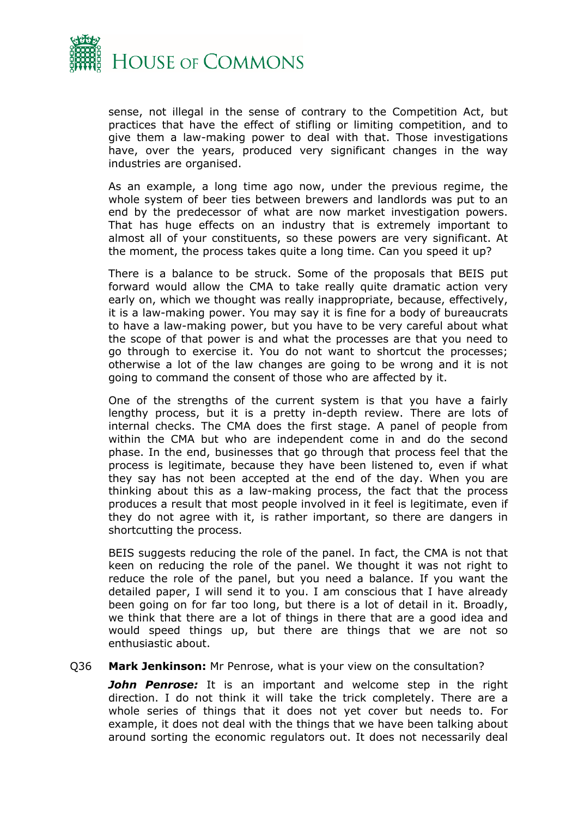

sense, not illegal in the sense of contrary to the Competition Act, but practices that have the effect of stifling or limiting competition, and to give them a law-making power to deal with that. Those investigations have, over the years, produced very significant changes in the way industries are organised.

As an example, a long time ago now, under the previous regime, the whole system of beer ties between brewers and landlords was put to an end by the predecessor of what are now market investigation powers. That has huge effects on an industry that is extremely important to almost all of your constituents, so these powers are very significant. At the moment, the process takes quite a long time. Can you speed it up?

There is a balance to be struck. Some of the proposals that BEIS put forward would allow the CMA to take really quite dramatic action very early on, which we thought was really inappropriate, because, effectively, it is a law-making power. You may say it is fine for a body of bureaucrats to have a law-making power, but you have to be very careful about what the scope of that power is and what the processes are that you need to go through to exercise it. You do not want to shortcut the processes; otherwise a lot of the law changes are going to be wrong and it is not going to command the consent of those who are affected by it.

One of the strengths of the current system is that you have a fairly lengthy process, but it is a pretty in-depth review. There are lots of internal checks. The CMA does the first stage. A panel of people from within the CMA but who are independent come in and do the second phase. In the end, businesses that go through that process feel that the process is legitimate, because they have been listened to, even if what they say has not been accepted at the end of the day. When you are thinking about this as a law-making process, the fact that the process produces a result that most people involved in it feel is legitimate, even if they do not agree with it, is rather important, so there are dangers in shortcutting the process.

BEIS suggests reducing the role of the panel. In fact, the CMA is not that keen on reducing the role of the panel. We thought it was not right to reduce the role of the panel, but you need a balance. If you want the detailed paper, I will send it to you. I am conscious that I have already been going on for far too long, but there is a lot of detail in it. Broadly, we think that there are a lot of things in there that are a good idea and would speed things up, but there are things that we are not so enthusiastic about.

#### Q36 **Mark Jenkinson:** Mr Penrose, what is your view on the consultation?

*John Penrose:* It is an important and welcome step in the right direction. I do not think it will take the trick completely. There are a whole series of things that it does not yet cover but needs to. For example, it does not deal with the things that we have been talking about around sorting the economic regulators out. It does not necessarily deal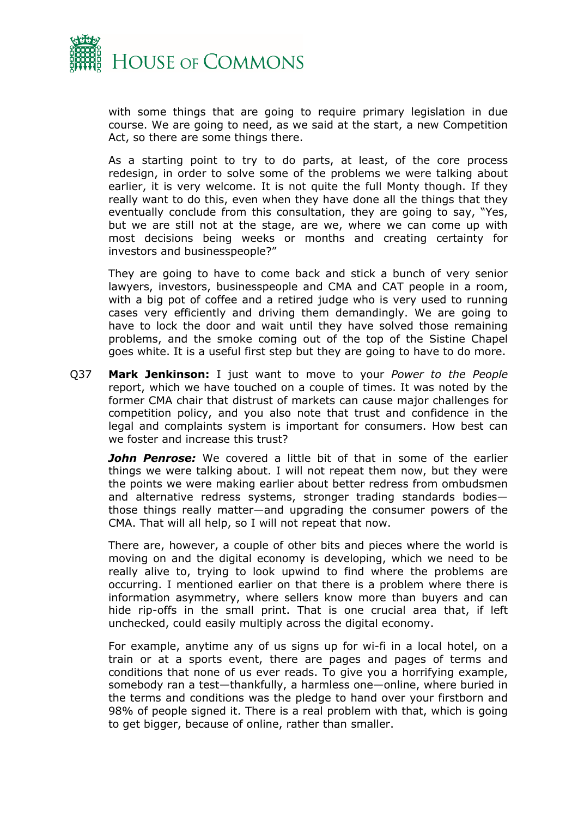

with some things that are going to require primary legislation in due course. We are going to need, as we said at the start, a new Competition Act, so there are some things there.

As a starting point to try to do parts, at least, of the core process redesign, in order to solve some of the problems we were talking about earlier, it is very welcome. It is not quite the full Monty though. If they really want to do this, even when they have done all the things that they eventually conclude from this consultation, they are going to say, "Yes, but we are still not at the stage, are we, where we can come up with most decisions being weeks or months and creating certainty for investors and businesspeople?"

They are going to have to come back and stick a bunch of very senior lawyers, investors, businesspeople and CMA and CAT people in a room, with a big pot of coffee and a retired judge who is very used to running cases very efficiently and driving them demandingly. We are going to have to lock the door and wait until they have solved those remaining problems, and the smoke coming out of the top of the Sistine Chapel goes white. It is a useful first step but they are going to have to do more.

Q37 **Mark Jenkinson:** I just want to move to your *Power to the People* report, which we have touched on a couple of times. It was noted by the former CMA chair that distrust of markets can cause major challenges for competition policy, and you also note that trust and confidence in the legal and complaints system is important for consumers. How best can we foster and increase this trust?

*John Penrose:* We covered a little bit of that in some of the earlier things we were talking about. I will not repeat them now, but they were the points we were making earlier about better redress from ombudsmen and alternative redress systems, stronger trading standards bodies those things really matter—and upgrading the consumer powers of the CMA. That will all help, so I will not repeat that now.

There are, however, a couple of other bits and pieces where the world is moving on and the digital economy is developing, which we need to be really alive to, trying to look upwind to find where the problems are occurring. I mentioned earlier on that there is a problem where there is information asymmetry, where sellers know more than buyers and can hide rip-offs in the small print. That is one crucial area that, if left unchecked, could easily multiply across the digital economy.

For example, anytime any of us signs up for wi-fi in a local hotel, on a train or at a sports event, there are pages and pages of terms and conditions that none of us ever reads. To give you a horrifying example, somebody ran a test—thankfully, a harmless one—online, where buried in the terms and conditions was the pledge to hand over your firstborn and 98% of people signed it. There is a real problem with that, which is going to get bigger, because of online, rather than smaller.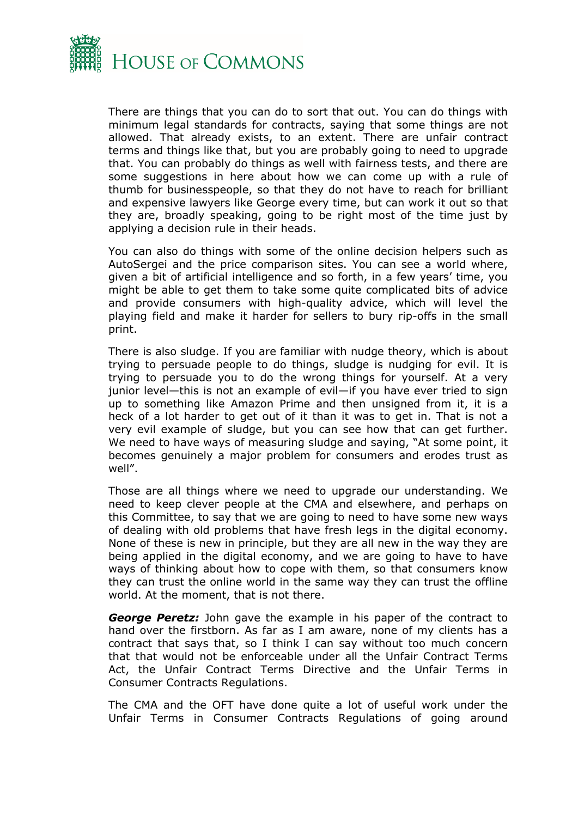

There are things that you can do to sort that out. You can do things with minimum legal standards for contracts, saying that some things are not allowed. That already exists, to an extent. There are unfair contract terms and things like that, but you are probably going to need to upgrade that. You can probably do things as well with fairness tests, and there are some suggestions in here about how we can come up with a rule of thumb for businesspeople, so that they do not have to reach for brilliant and expensive lawyers like George every time, but can work it out so that they are, broadly speaking, going to be right most of the time just by applying a decision rule in their heads.

You can also do things with some of the online decision helpers such as AutoSergei and the price comparison sites. You can see a world where, given a bit of artificial intelligence and so forth, in a few years' time, you might be able to get them to take some quite complicated bits of advice and provide consumers with high-quality advice, which will level the playing field and make it harder for sellers to bury rip-offs in the small print.

There is also sludge. If you are familiar with nudge theory, which is about trying to persuade people to do things, sludge is nudging for evil. It is trying to persuade you to do the wrong things for yourself. At a very junior level—this is not an example of evil—if you have ever tried to sign up to something like Amazon Prime and then unsigned from it, it is a heck of a lot harder to get out of it than it was to get in. That is not a very evil example of sludge, but you can see how that can get further. We need to have ways of measuring sludge and saying, "At some point, it becomes genuinely a major problem for consumers and erodes trust as well".

Those are all things where we need to upgrade our understanding. We need to keep clever people at the CMA and elsewhere, and perhaps on this Committee, to say that we are going to need to have some new ways of dealing with old problems that have fresh legs in the digital economy. None of these is new in principle, but they are all new in the way they are being applied in the digital economy, and we are going to have to have ways of thinking about how to cope with them, so that consumers know they can trust the online world in the same way they can trust the offline world. At the moment, that is not there.

*George Peretz:* John gave the example in his paper of the contract to hand over the firstborn. As far as I am aware, none of my clients has a contract that says that, so I think I can say without too much concern that that would not be enforceable under all the Unfair Contract Terms Act, the Unfair Contract Terms Directive and the Unfair Terms in Consumer Contracts Regulations.

The CMA and the OFT have done quite a lot of useful work under the Unfair Terms in Consumer Contracts Regulations of going around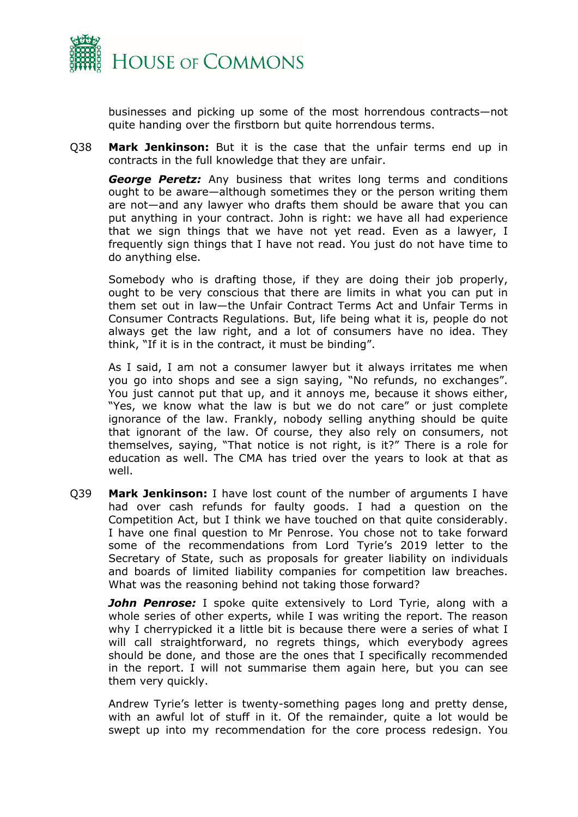

businesses and picking up some of the most horrendous contracts—not quite handing over the firstborn but quite horrendous terms.

Q38 **Mark Jenkinson:** But it is the case that the unfair terms end up in contracts in the full knowledge that they are unfair.

*George Peretz:* Any business that writes long terms and conditions ought to be aware—although sometimes they or the person writing them are not—and any lawyer who drafts them should be aware that you can put anything in your contract. John is right: we have all had experience that we sign things that we have not yet read. Even as a lawyer, I frequently sign things that I have not read. You just do not have time to do anything else.

Somebody who is drafting those, if they are doing their job properly, ought to be very conscious that there are limits in what you can put in them set out in law—the Unfair Contract Terms Act and Unfair Terms in Consumer Contracts Regulations. But, life being what it is, people do not always get the law right, and a lot of consumers have no idea. They think, "If it is in the contract, it must be binding".

As I said, I am not a consumer lawyer but it always irritates me when you go into shops and see a sign saying, "No refunds, no exchanges". You just cannot put that up, and it annoys me, because it shows either, "Yes, we know what the law is but we do not care" or just complete ignorance of the law. Frankly, nobody selling anything should be quite that ignorant of the law. Of course, they also rely on consumers, not themselves, saying, "That notice is not right, is it?" There is a role for education as well. The CMA has tried over the years to look at that as well.

Q39 **Mark Jenkinson:** I have lost count of the number of arguments I have had over cash refunds for faulty goods. I had a question on the Competition Act, but I think we have touched on that quite considerably. I have one final question to Mr Penrose. You chose not to take forward some of the recommendations from Lord Tyrie's 2019 letter to the Secretary of State, such as proposals for greater liability on individuals and boards of limited liability companies for competition law breaches. What was the reasoning behind not taking those forward?

*John Penrose:* I spoke quite extensively to Lord Tyrie, along with a whole series of other experts, while I was writing the report. The reason why I cherrypicked it a little bit is because there were a series of what I will call straightforward, no regrets things, which everybody agrees should be done, and those are the ones that I specifically recommended in the report. I will not summarise them again here, but you can see them very quickly.

Andrew Tyrie's letter is twenty-something pages long and pretty dense, with an awful lot of stuff in it. Of the remainder, quite a lot would be swept up into my recommendation for the core process redesign. You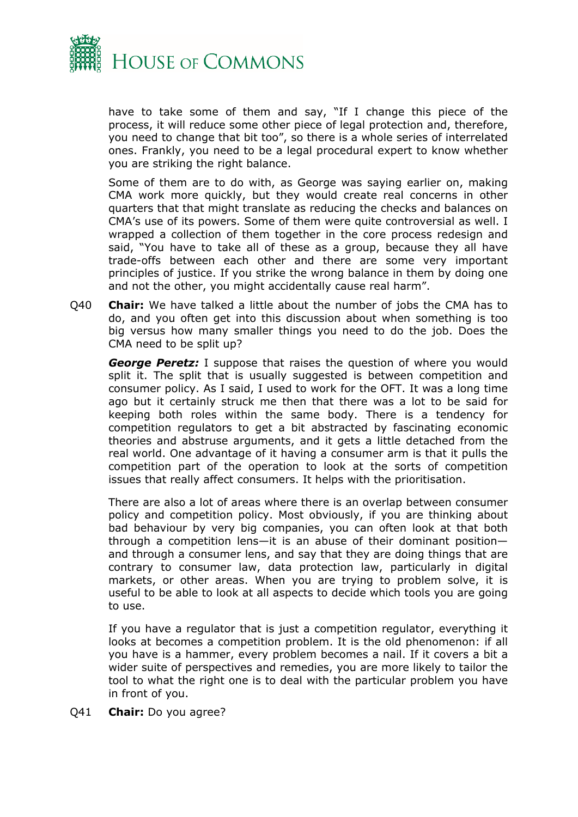

have to take some of them and say, "If I change this piece of the process, it will reduce some other piece of legal protection and, therefore, you need to change that bit too", so there is a whole series of interrelated ones. Frankly, you need to be a legal procedural expert to know whether you are striking the right balance.

Some of them are to do with, as George was saying earlier on, making CMA work more quickly, but they would create real concerns in other quarters that that might translate as reducing the checks and balances on CMA's use of its powers. Some of them were quite controversial as well. I wrapped a collection of them together in the core process redesign and said, "You have to take all of these as a group, because they all have trade-offs between each other and there are some very important principles of justice. If you strike the wrong balance in them by doing one and not the other, you might accidentally cause real harm".

Q40 **Chair:** We have talked a little about the number of jobs the CMA has to do, and you often get into this discussion about when something is too big versus how many smaller things you need to do the job. Does the CMA need to be split up?

*George Peretz:* I suppose that raises the question of where you would split it. The split that is usually suggested is between competition and consumer policy. As I said, I used to work for the OFT. It was a long time ago but it certainly struck me then that there was a lot to be said for keeping both roles within the same body. There is a tendency for competition regulators to get a bit abstracted by fascinating economic theories and abstruse arguments, and it gets a little detached from the real world. One advantage of it having a consumer arm is that it pulls the competition part of the operation to look at the sorts of competition issues that really affect consumers. It helps with the prioritisation.

There are also a lot of areas where there is an overlap between consumer policy and competition policy. Most obviously, if you are thinking about bad behaviour by very big companies, you can often look at that both through a competition lens—it is an abuse of their dominant position and through a consumer lens, and say that they are doing things that are contrary to consumer law, data protection law, particularly in digital markets, or other areas. When you are trying to problem solve, it is useful to be able to look at all aspects to decide which tools you are going to use.

If you have a regulator that is just a competition regulator, everything it looks at becomes a competition problem. It is the old phenomenon: if all you have is a hammer, every problem becomes a nail. If it covers a bit a wider suite of perspectives and remedies, you are more likely to tailor the tool to what the right one is to deal with the particular problem you have in front of you.

Q41 **Chair:** Do you agree?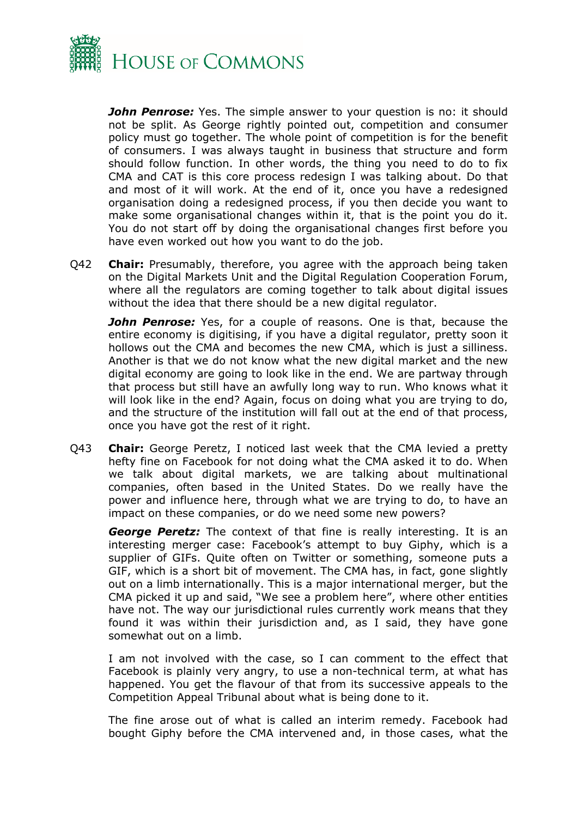

*John Penrose:* Yes. The simple answer to your question is no: it should not be split. As George rightly pointed out, competition and consumer policy must go together. The whole point of competition is for the benefit of consumers. I was always taught in business that structure and form should follow function. In other words, the thing you need to do to fix CMA and CAT is this core process redesign I was talking about. Do that and most of it will work. At the end of it, once you have a redesigned organisation doing a redesigned process, if you then decide you want to make some organisational changes within it, that is the point you do it. You do not start off by doing the organisational changes first before you have even worked out how you want to do the job.

Q42 **Chair:** Presumably, therefore, you agree with the approach being taken on the Digital Markets Unit and the Digital Regulation Cooperation Forum, where all the regulators are coming together to talk about digital issues without the idea that there should be a new digital regulator.

**John Penrose:** Yes, for a couple of reasons. One is that, because the entire economy is digitising, if you have a digital regulator, pretty soon it hollows out the CMA and becomes the new CMA, which is just a silliness. Another is that we do not know what the new digital market and the new digital economy are going to look like in the end. We are partway through that process but still have an awfully long way to run. Who knows what it will look like in the end? Again, focus on doing what you are trying to do, and the structure of the institution will fall out at the end of that process, once you have got the rest of it right.

Q43 **Chair:** George Peretz, I noticed last week that the CMA levied a pretty hefty fine on Facebook for not doing what the CMA asked it to do. When we talk about digital markets, we are talking about multinational companies, often based in the United States. Do we really have the power and influence here, through what we are trying to do, to have an impact on these companies, or do we need some new powers?

*George Peretz:* The context of that fine is really interesting. It is an interesting merger case: Facebook's attempt to buy Giphy, which is a supplier of GIFs. Quite often on Twitter or something, someone puts a GIF, which is a short bit of movement. The CMA has, in fact, gone slightly out on a limb internationally. This is a major international merger, but the CMA picked it up and said, "We see a problem here", where other entities have not. The way our jurisdictional rules currently work means that they found it was within their jurisdiction and, as I said, they have gone somewhat out on a limb.

I am not involved with the case, so I can comment to the effect that Facebook is plainly very angry, to use a non-technical term, at what has happened. You get the flavour of that from its successive appeals to the Competition Appeal Tribunal about what is being done to it.

The fine arose out of what is called an interim remedy. Facebook had bought Giphy before the CMA intervened and, in those cases, what the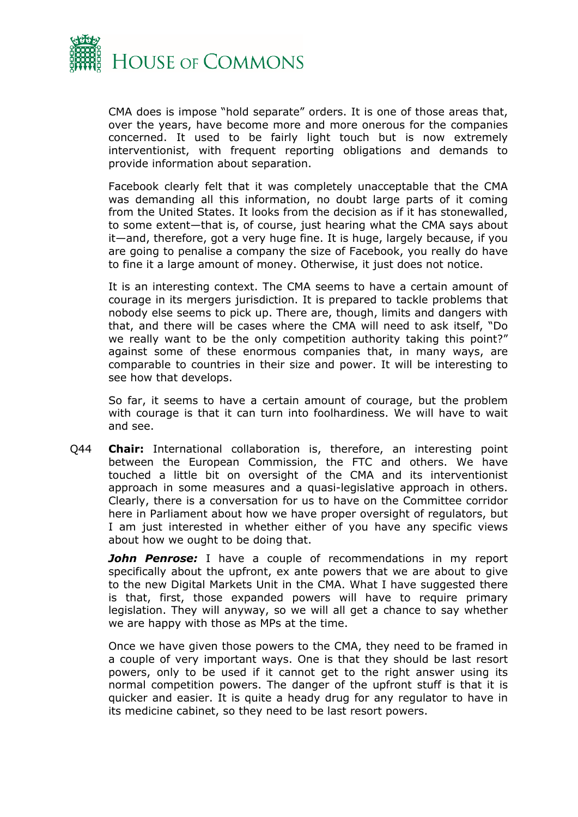

CMA does is impose "hold separate" orders. It is one of those areas that, over the years, have become more and more onerous for the companies concerned. It used to be fairly light touch but is now extremely interventionist, with frequent reporting obligations and demands to provide information about separation.

Facebook clearly felt that it was completely unacceptable that the CMA was demanding all this information, no doubt large parts of it coming from the United States. It looks from the decision as if it has stonewalled, to some extent—that is, of course, just hearing what the CMA says about it—and, therefore, got a very huge fine. It is huge, largely because, if you are going to penalise a company the size of Facebook, you really do have to fine it a large amount of money. Otherwise, it just does not notice.

It is an interesting context. The CMA seems to have a certain amount of courage in its mergers jurisdiction. It is prepared to tackle problems that nobody else seems to pick up. There are, though, limits and dangers with that, and there will be cases where the CMA will need to ask itself, "Do we really want to be the only competition authority taking this point?" against some of these enormous companies that, in many ways, are comparable to countries in their size and power. It will be interesting to see how that develops.

So far, it seems to have a certain amount of courage, but the problem with courage is that it can turn into foolhardiness. We will have to wait and see.

Q44 **Chair:** International collaboration is, therefore, an interesting point between the European Commission, the FTC and others. We have touched a little bit on oversight of the CMA and its interventionist approach in some measures and a quasi-legislative approach in others. Clearly, there is a conversation for us to have on the Committee corridor here in Parliament about how we have proper oversight of regulators, but I am just interested in whether either of you have any specific views about how we ought to be doing that.

*John Penrose:* I have a couple of recommendations in my report specifically about the upfront, ex ante powers that we are about to give to the new Digital Markets Unit in the CMA. What I have suggested there is that, first, those expanded powers will have to require primary legislation. They will anyway, so we will all get a chance to say whether we are happy with those as MPs at the time.

Once we have given those powers to the CMA, they need to be framed in a couple of very important ways. One is that they should be last resort powers, only to be used if it cannot get to the right answer using its normal competition powers. The danger of the upfront stuff is that it is quicker and easier. It is quite a heady drug for any regulator to have in its medicine cabinet, so they need to be last resort powers.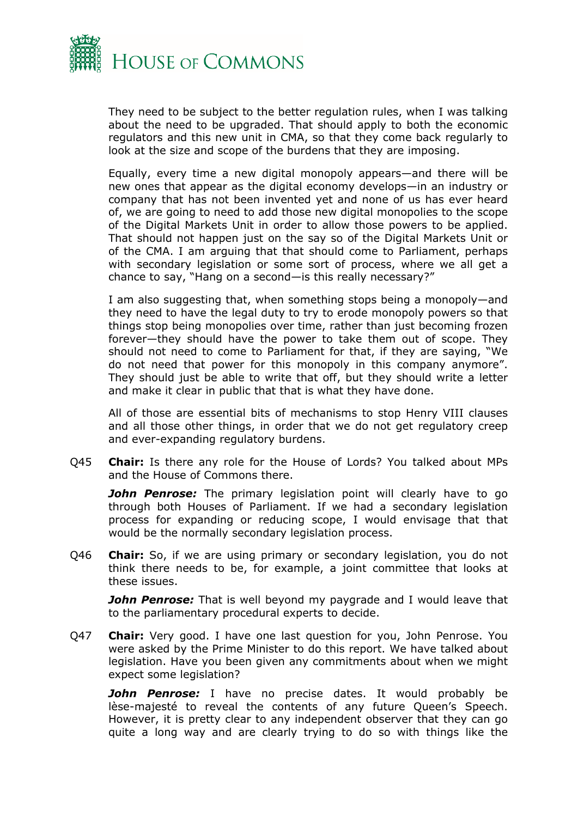

They need to be subject to the better regulation rules, when I was talking about the need to be upgraded. That should apply to both the economic regulators and this new unit in CMA, so that they come back regularly to look at the size and scope of the burdens that they are imposing.

Equally, every time a new digital monopoly appears—and there will be new ones that appear as the digital economy develops—in an industry or company that has not been invented yet and none of us has ever heard of, we are going to need to add those new digital monopolies to the scope of the Digital Markets Unit in order to allow those powers to be applied. That should not happen just on the say so of the Digital Markets Unit or of the CMA. I am arguing that that should come to Parliament, perhaps with secondary legislation or some sort of process, where we all get a chance to say, "Hang on a second—is this really necessary?"

I am also suggesting that, when something stops being a monopoly—and they need to have the legal duty to try to erode monopoly powers so that things stop being monopolies over time, rather than just becoming frozen forever—they should have the power to take them out of scope. They should not need to come to Parliament for that, if they are saying, "We do not need that power for this monopoly in this company anymore". They should just be able to write that off, but they should write a letter and make it clear in public that that is what they have done.

All of those are essential bits of mechanisms to stop Henry VIII clauses and all those other things, in order that we do not get regulatory creep and ever-expanding regulatory burdens.

Q45 **Chair:** Is there any role for the House of Lords? You talked about MPs and the House of Commons there.

*John Penrose:* The primary legislation point will clearly have to go through both Houses of Parliament. If we had a secondary legislation process for expanding or reducing scope, I would envisage that that would be the normally secondary legislation process.

Q46 **Chair:** So, if we are using primary or secondary legislation, you do not think there needs to be, for example, a joint committee that looks at these issues.

*John Penrose:* That is well beyond my paygrade and I would leave that to the parliamentary procedural experts to decide.

Q47 **Chair:** Very good. I have one last question for you, John Penrose. You were asked by the Prime Minister to do this report. We have talked about legislation. Have you been given any commitments about when we might expect some legislation?

*John Penrose:* I have no precise dates. It would probably be lèse-majesté to reveal the contents of any future Queen's Speech. However, it is pretty clear to any independent observer that they can go quite a long way and are clearly trying to do so with things like the